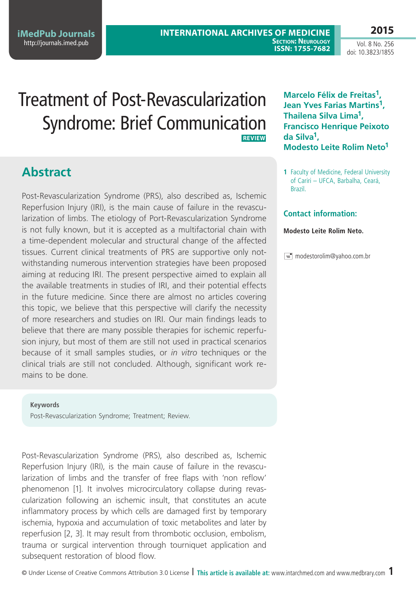**2015**

Vol. 8 No. 256 doi: 10.3823/1855

# Treatment of Post-Revascularization Syndrome: Brief Communication **Review**

## **Abstract**

Post-Revascularization Syndrome (PRS), also described as, Ischemic Reperfusion Injury (IRI), is the main cause of failure in the revascularization of limbs. The etiology of Port-Revascularization Syndrome is not fully known, but it is accepted as a multifactorial chain with a time-dependent molecular and structural change of the affected tissues. Current clinical treatments of PRS are supportive only notwithstanding numerous intervention strategies have been proposed aiming at reducing IRI. The present perspective aimed to explain all the available treatments in studies of IRI, and their potential effects in the future medicine. Since there are almost no articles covering this topic, we believe that this perspective will clarify the necessity of more researchers and studies on IRI. Our main findings leads to believe that there are many possible therapies for ischemic reperfusion injury, but most of them are still not used in practical scenarios because of it small samples studies, or *in vitro* techniques or the clinical trials are still not concluded. Although, significant work remains to be done.

#### **Keywords**

Post-Revascularization Syndrome; Treatment; Review.

Post-Revascularization Syndrome (PRS), also described as, Ischemic Reperfusion Injury (IRI), is the main cause of failure in the revascularization of limbs and the transfer of free flaps with 'non reflow' phenomenon [1]. It involves microcirculatory collapse during revascularization following an ischemic insult, that constitutes an acute inflammatory process by which cells are damaged first by temporary ischemia, hypoxia and accumulation of toxic metabolites and later by reperfusion [2, 3]. It may result from thrombotic occlusion, embolism, trauma or surgical intervention through tourniquet application and subsequent restoration of blood flow.

**Marcelo Félix de Freitas1, Jean Yves Farias Martins1, Thailena Silva Lima1, Francisco Henrique Peixoto da Silva1, Modesto Leite Rolim Neto1**

**1** Faculty of Medicine, Federal University of Cariri – UFCA, Barbalha, Ceará, Brazil.

### **Contact information:**

#### **Modesto Leite Rolim Neto.**

 $\equiv$  modestorolim@yahoo.com.br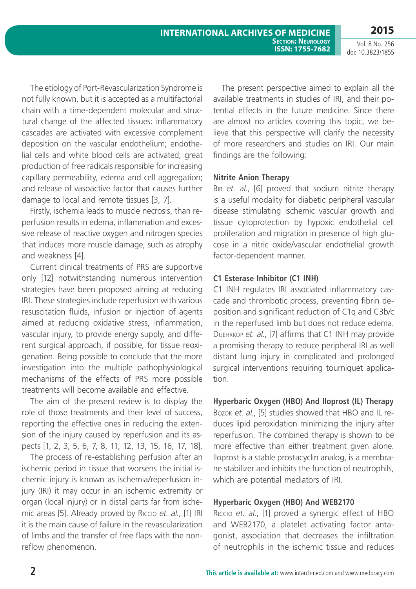The etiology of Port-Revascularization Syndrome is not fully known, but it is accepted as a multifactorial chain with a time-dependent molecular and structural change of the affected tissues: inflammatory cascades are activated with excessive complement deposition on the vascular endothelium; endothelial cells and white blood cells are activated; great production of free radicals responsible for increasing capillary permeability, edema and cell aggregation; and release of vasoactive factor that causes further damage to local and remote tissues [3, 7].

Firstly, ischemia leads to muscle necrosis, than reperfusion results in edema, inflammation and excessive release of reactive oxygen and nitrogen species that induces more muscle damage, such as atrophy and weakness [4].

Current clinical treatments of PRS are supportive only [12] notwithstanding numerous intervention strategies have been proposed aiming at reducing IRI. These strategies include reperfusion with various resuscitation fluids, infusion or injection of agents aimed at reducing oxidative stress, inflammation, vascular injury, to provide energy supply, and different surgical approach, if possible, for tissue reoxigenation. Being possible to conclude that the more investigation into the multiple pathophysiological mechanisms of the effects of PRS more possible treatments will become available and effective.

The aim of the present review is to display the role of those treatments and their level of success, reporting the effective ones in reducing the extension of the injury caused by reperfusion and its aspects [1, 2, 3, 5, 6, 7, 8, 11, 12, 13, 15, 16, 17, 18].

The process of re-establishing perfusion after an ischemic period in tissue that worsens the initial ischemic injury is known as ischemia/reperfusion injury (IRI) it may occur in an ischemic extremity or organ (local injury) or in distal parts far from ischemic areas [5]. Already proved by Riccio *et. al.*, [1] IRI it is the main cause of failure in the revascularization of limbs and the transfer of free flaps with the nonreflow phenomenon.

The present perspective aimed to explain all the available treatments in studies of IRI, and their potential effects in the future medicine. Since there are almost no articles covering this topic, we believe that this perspective will clarify the necessity of more researchers and studies on IRI. Our main findings are the following:

**Section: Neurology ISSN: 1755-7682**

## **Nitrite Anion Therapy**

**International Archives of Medicine**

Bir *et. al.*, [6] proved that sodium nitrite therapy is a useful modality for diabetic peripheral vascular disease stimulating ischemic vascular growth and tissue cytoprotection by hypoxic endothelial cell proliferation and migration in presence of high glucose in a nitric oxide/vascular endothelial growth factor-dependent manner.

## **C1 Esterase Inhibitor (C1 INH)**

C1 INH regulates IRI associated inflammatory cascade and thrombotic process, preventing fibrin deposition and significant reduction of C1q and C3b/c in the reperfused limb but does not reduce edema. Duehrkop *et. al.*, [7] affirms that C1 INH may provide a promising therapy to reduce peripheral IRI as well distant lung injury in complicated and prolonged surgical interventions requiring tourniquet application.

## **Hyperbaric Oxygen (HBO) And Iloprost (IL) Therapy**

Bozok *et. al.*, [5] studies showed that HBO and IL reduces lipid peroxidation minimizing the injury after reperfusion. The combined therapy is shown to be more effective than either treatment given alone. Iloprost is a stable prostacyclin analog, is a membrane stabilizer and inhibits the function of neutrophils, which are potential mediators of IRI.

### **Hyperbaric Oxygen (HBO) And WEB2170**

Riccio *et. al.*, [1] proved a synergic effect of HBO and WEB2170, a platelet activating factor antagonist, association that decreases the infiltration of neutrophils in the ischemic tissue and reduces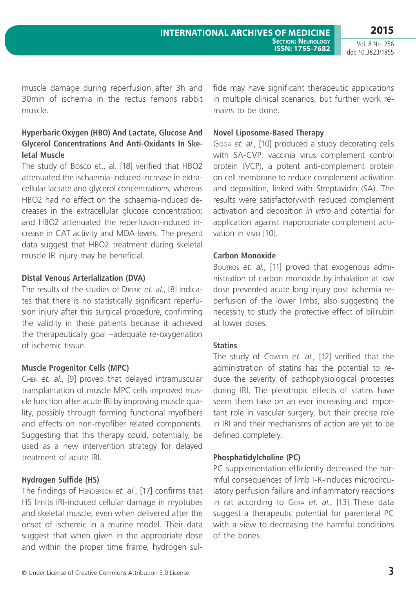doi: 10.3823/1855

muscle damage during reperfusion after 3h and 30min of ischemia in the rectus femoris rabbit muscle.

#### **Hyperbaric Oxygen (HBO) And Lactate, Glucose And Glycerol Concentrations And Anti-Oxidants In Skeletal Muscle**

The study of Bosco et., al. [18] verified that HBO2 attenuated the ischaemia-induced increase in extracellular lactate and glycerol concentrations, whereas HBO2 had no effect on the ischaemia-induced decreases in the extracellular glucose concentration; and HBO2 attenuated the reperfusion-induced increase in CAT activity and MDA levels. The present data suggest that HBO2 treatment during skeletal muscle IR injury may be beneficial.

#### **Distal Venous Arterialization (DVA)**

The results of the studies of Djoric *et. al.*, [8] indicates that there is no statistically significant reperfusion injury after this surgical procedure, confirming the validity in these patients because it achieved the therapeutically goal –adequate re-oxygenation of ischemic tissue.

#### **Muscle Progenitor Cells (MPC)**

Chen *et. al.*, [9] proved that delayed intramuscular transplantation of muscle MPC cells improved muscle function after acute IRI by improving muscle quality, possibly through forming functional myofibers and effects on non-myofiber related components. Suggesting that this therapy could, potentially, be used as a new intervention strategy for delayed treatment of acute IRI.

### **Hydrogen Sulfide (HS)**

The findings of HENDERSON et. al., [17] confirms that HS limits IRI-induced cellular damage in myotubes and skeletal muscle, even when delivered after the onset of ischemic in a murine model. Their data suggest that when given in the appropriate dose and within the proper time frame, hydrogen sulfide may have significant therapeutic applications in multiple clinical scenarios, but further work remains to be done.

#### **Novel Liposome-Based Therapy**

Goga *et. al.*, [10] produced a study decorating cells with SA-CVP: vaccinia virus complement control protein (VCP), a potent anti-complement protein on cell membrane to reduce complement activation and deposition, linked with Streptavidin (SA). The results were satisfactorywith reduced complement activation and deposition *in vitro* and potential for application against inappropriate complement activation in vivo [10].

#### **Carbon Monoxide**

Boutros et. al., [11] proved that exogenous administration of carbon monoxide by inhalation at low dose prevented acute long injury post ischemia reperfusion of the lower limbs, also suggesting the necessity to study the protective effect of bilirubin at lower doses.

#### **Statins**

The study of Cowlep et. al., [12] verified that the administration of statins has the potential to reduce the severity of pathophysiological processes during IRI. The pleiotropic effects of statins have seem them take on an ever increasing and important role in vascular surgery, but their precise role in IRI and their mechanisms of action are yet to be defined completely.

#### **Phosphatidylcholine (PC)**

PC supplementation efficiently decreased the harmful consequences of limb I-R-induces microcirculatory perfusion failure and inflammatory reactions in rat according to Gera *et. al.*, [13] These data suggest a therapeutic potential for parenteral PC with a view to decreasing the harmful conditions of the bones.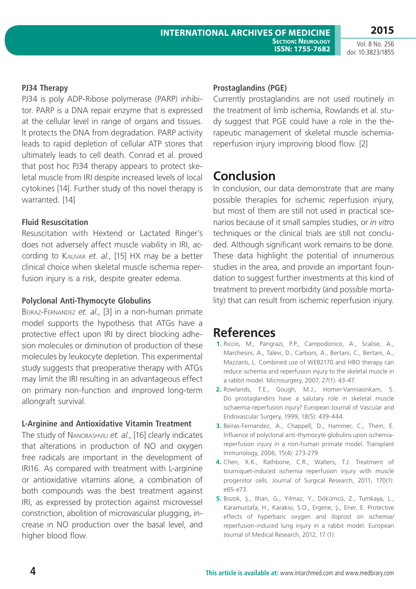Vol. 8 No. 256 doi: 10.3823/1855

**2015**

#### **PJ34 Therapy**

PJ34 is poly ADP-Ribose polymerase (PARP) inhibitor. PARP is a DNA repair enzyme that is expressed at the cellular level in range of organs and tissues. It protects the DNA from degradation. PARP activity leads to rapid depletion of cellular ATP stores that ultimately leads to cell death. Conrad et al. proved that post hoc PJ34 therapy appears to protect skeletal muscle from IRI despite increased levels of local cytokines [14]. Further study of this novel therapy is warranted. [14]

#### **Fluid Resuscitation**

Resuscitation with Hextend or Lactated Ringer's does not adversely affect muscle viability in IRI, according to Kauvar *et. al.*, [15] HX may be a better clinical choice when skeletal muscle ischemia reperfusion injury is a risk, despite greater edema.

#### **Polyclonal Anti-Thymocyte Globulins**

Beiraz-Fernandez *et. al.*, [3] in a non-human primate model supports the hypothesis that ATGs have a protective effect upon IRI by direct blocking adhesion molecules or diminution of production of these molecules by leukocyte depletion. This experimental study suggests that preoperative therapy with ATGs may limit the IRI resulting in an advantageous effect on primary non-function and improved long-term allongraft survival.

#### **L-Arginine and Antioxidative Vitamin Treatment**

The study of Nanobashvili *et. al.*, [16] clearly indicates that alterations in production of NO and oxygen free radicals are important in the development of IRI16. As compared with treatment with L-arginine or antioxidative vitamins alone, a combination of both compounds was the best treatment against IRI, as expressed by protection against microvessel constriction, abolition of microvascular plugging, increase in NO production over the basal level, and higher blood flow.

#### **Prostaglandins (PGE)**

Currently prostaglandins are not used routinely in the treatment of limb ischemia, Rowlands et al. study suggest that PGE could have a role in the therapeutic management of skeletal muscle ischemiareperfusion injury improving blood flow. [2]

## **Conclusion**

In conclusion, our data demonstrate that are many possible therapies for ischemic reperfusion injury, but most of them are still not used in practical scenarios because of it small samples studies, or *in vitro* techniques or the clinical trials are still not concluded. Although significant work remains to be done. These data highlight the potential of innumerous studies in the area, and provide an important foundation to suggest further investments at this kind of treatment to prevent morbidity (and possible mortality) that can result from ischemic reperfusion injury.

## **References**

- **1.** Riccio, M., Pangrazi, P.P., Campodonico, A., Scalise, A., Marchesini, A., Talevi, D., Carboni, A., Bertani, C., Bertani, A., Mazzanti, L. Combined use of WEB2170 and HBO therapy can reduce ischemia and reperfusion injury to the skeletal muscle in a rabbit model. Microsurgery, 2007, 27(1): 43-47.
- **2.** Rowlands, T.E., Gough, M.J., Homer-Vanniasinkam, S. Do prostaglandins have a salutary role in skeletal muscle ischaemia-reperfusion injury? European Journal of Vascular and Endovascular Surgery, 1999, 18(5): 439-444.
- **3.** Beiras-Fernandez, A., Chappell, D., Hammer, C., Thein, E. Influence of polyclonal anti-thymocyte globulins upon ischemiareperfusion injury in a non-human primate model. Transplant Immunology, 2006, 15(4): 273-279.
- **4.** Chen, X.K., Rathbone, C.R., Walters, T.J. Treatment of tourniquet-induced ischemia reperfusion injury with muscle progenitor cells. Journal of Surgical Research, 2011, 170(1): e65-e73.
- **5.** Bozok, Ş., Ilhan, G., Yilmaz, Y., Dökümcü, Z., Tumkaya, L., Karamustafa, H., Karakisi, S.O., Ergene, Ş., Ener, E. Protective effects of hyperbaric oxygen and iloprost on ischemia/ reperfusion-induced lung injury in a rabbit model. European Journal of Medical Research, 2012, 17 (1):